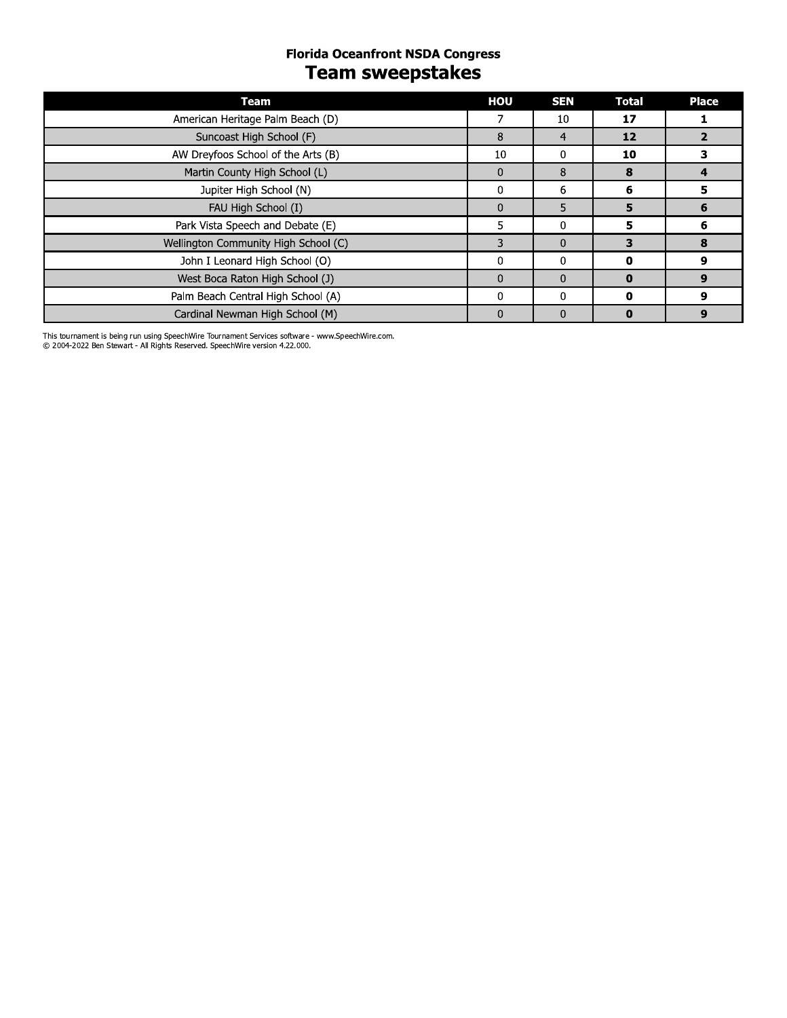# **Florida Oceanfront NSDA Congress Team sweepstakes**

| Team                                 | HOU          | <b>SEN</b>   | <b>Total</b> | <b>Place</b> |
|--------------------------------------|--------------|--------------|--------------|--------------|
| American Heritage Palm Beach (D)     | 7            | 10           | 17           |              |
| Suncoast High School (F)             | 8            | 4            | 12           |              |
| AW Dreyfoos School of the Arts (B)   | 10           | 0            | 10           | 3            |
| Martin County High School (L)        | $\mathbf{0}$ | 8            | 8            | 4            |
| Jupiter High School (N)              | $\mathbf{0}$ | 6            | 6            | 5            |
| FAU High School (I)                  | $\Omega$     | 5            | 5            | 6            |
| Park Vista Speech and Debate (E)     | 5.           | $\Omega$     | 5            | 6            |
| Wellington Community High School (C) | 3            | 0            | 3            | 8            |
| John I Leonard High School (O)       | $\Omega$     | $\Omega$     | 0            | 9            |
| West Boca Raton High School (J)      | $\Omega$     | $\mathbf{0}$ | $\bf{0}$     | 9            |
| Palm Beach Central High School (A)   | $\mathbf{0}$ | $\Omega$     | 0            | 9            |
| Cardinal Newman High School (M)      | $\Omega$     | 0            | $\bf{0}$     | 9            |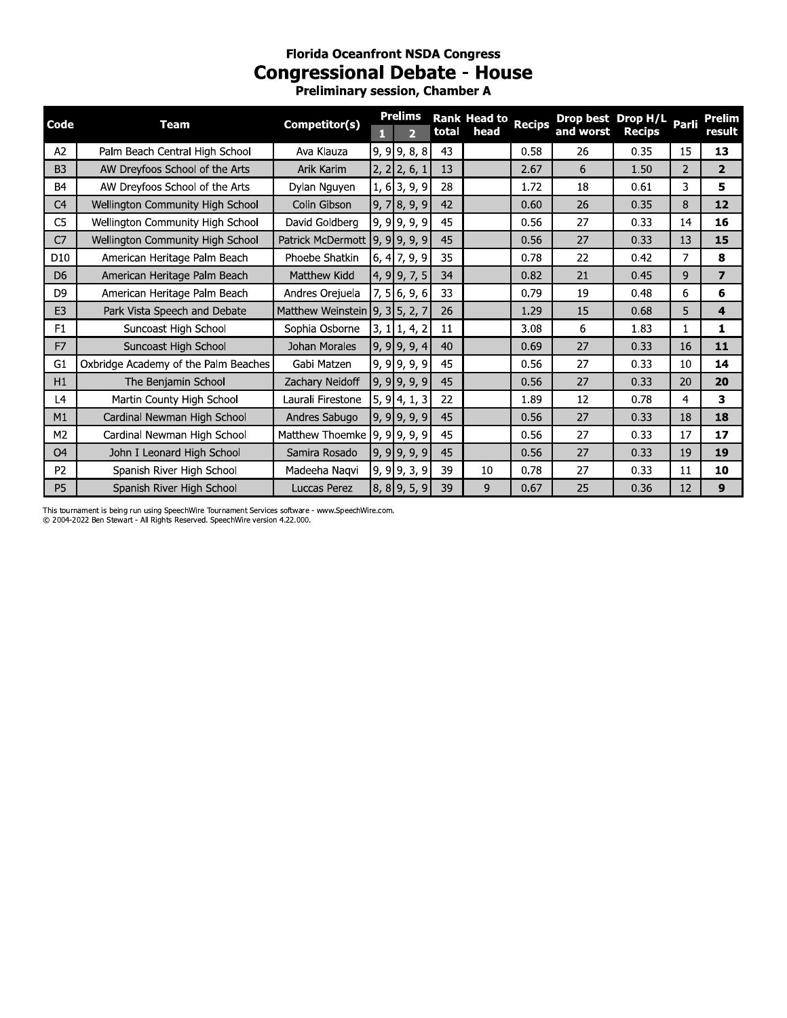# **Florida Oceanfront NSDA Congress Congressional Debate - House**

Preliminary session, Chamber A

| Code            | <b>Team</b>                          | Competitor(s)                  | п | <b>Prelims</b><br>$\overline{2}$ | total | <b>Rank Head to</b><br>head | <b>Recips</b> | Drop best Drop H/L Parli<br>and worst | <b>Recips</b> |                | <b>Prelim</b><br>result |
|-----------------|--------------------------------------|--------------------------------|---|----------------------------------|-------|-----------------------------|---------------|---------------------------------------|---------------|----------------|-------------------------|
| A2              | Palm Beach Central High School       | Ava Klauza                     |   | $9, 9$ 9, 8, 8                   | 43    |                             | 0.58          | 26                                    | 0.35          | 15             | 13                      |
| B <sub>3</sub>  | AW Dreyfoos School of the Arts       | Arik Karim                     |   | $2, 2$ 2, 6, 1                   | 13    |                             | 2.67          | 6                                     | 1.50          | 2              | $\overline{2}$          |
| B <sub>4</sub>  | AW Dreyfoos School of the Arts       | Dylan Nguyen                   |   | $1, 6$ 3, 9, 9                   | 28    |                             | 1.72          | 18                                    | 0.61          | 3              | 5                       |
| C <sub>4</sub>  | Wellington Community High School     | Colin Gibson                   |   | $9,7$ 8, 9, 9                    | 42    |                             | 0.60          | 26                                    | 0.35          | 8              | 12                      |
| C <sub>5</sub>  | Wellington Community High School     | David Goldberg                 |   | $9, 9$ 9, 9, 9                   | 45    |                             | 0.56          | 27                                    | 0.33          | 14             | 16                      |
| C <sub>7</sub>  | Wellington Community High School     | Patrick McDermott 9, 9 9, 9, 9 |   |                                  | 45    |                             | 0.56          | 27                                    | 0.33          | 13             | 15                      |
| D <sub>10</sub> | American Heritage Palm Beach         | Phoebe Shatkin                 |   | $6, 4$ 7, 9, 9                   | 35    |                             | 0.78          | 22                                    | 0.42          | 7              | 8                       |
| D <sub>6</sub>  | American Heritage Palm Beach         | Matthew Kidd                   |   | $4, 9$ 9, 7, 5                   | 34    |                             | 0.82          | 21                                    | 0.45          | 9              | $\overline{\mathbf{z}}$ |
| D <sub>9</sub>  | American Heritage Palm Beach         | Andres Orejuela                |   | $7, 5$ 6, 9, 6                   | 33    |                             | 0.79          | 19                                    | 0.48          | 6              | 6                       |
| E <sub>3</sub>  | Park Vista Speech and Debate         | Matthew Weinstein 9, 3 5, 2, 7 |   |                                  | 26    |                             | 1.29          | 15                                    | 0.68          | 5              | 4                       |
| F1              | Suncoast High School                 | Sophia Osborne                 |   | $3, 1 \vert 1, 4, 2 \vert$       | 11    |                             | 3.08          | 6                                     | 1.83          | 1              | 1                       |
| F <sub>7</sub>  | Suncoast High School                 | Johan Morales                  |   | $9, 9$ 9, 9, 4                   | 40    |                             | 0.69          | 27                                    | 0.33          | 16             | 11                      |
| G <sub>1</sub>  | Oxbridge Academy of the Palm Beaches | Gabi Matzen                    |   | $9, 9$ 9, 9, 9                   | 45    |                             | 0.56          | 27                                    | 0.33          | 10             | 14                      |
| H1              | The Benjamin School                  | Zachary Neidoff                |   | $9, 9$ 9, 9, 9                   | 45    |                             | 0.56          | 27                                    | 0.33          | 20             | 20                      |
| L4              | Martin County High School            | Laurali Firestone              |   | $5, 9$ 4, 1, 3                   | 22    |                             | 1.89          | 12                                    | 0.78          | $\overline{4}$ | 3                       |
| M1              | Cardinal Newman High School          | Andres Sabugo                  |   | $9, 9$ 9, 9, 9                   | 45    |                             | 0.56          | 27                                    | 0.33          | 18             | 18                      |
| M <sub>2</sub>  | Cardinal Newman High School          | Matthew Thoemke 9, 9 9, 9, 9   |   |                                  | 45    |                             | 0.56          | 27                                    | 0.33          | 17             | 17                      |
| O <sub>4</sub>  | John I Leonard High School           | Samira Rosado                  |   | $9, 9$ 9, 9, 9                   | 45    |                             | 0.56          | 27                                    | 0.33          | 19             | 19                      |
| P <sub>2</sub>  | Spanish River High School            | Madeeha Naqvi                  |   | $9, 9$ 9, 3, 9                   | 39    | 10                          | 0.78          | 27                                    | 0.33          | 11             | 10                      |
| P <sub>5</sub>  | Spanish River High School            | Luccas Perez                   |   | $8, 8$ 9, 5, 9                   | 39    | 9                           | 0.67          | 25                                    | 0.36          | 12             | 9                       |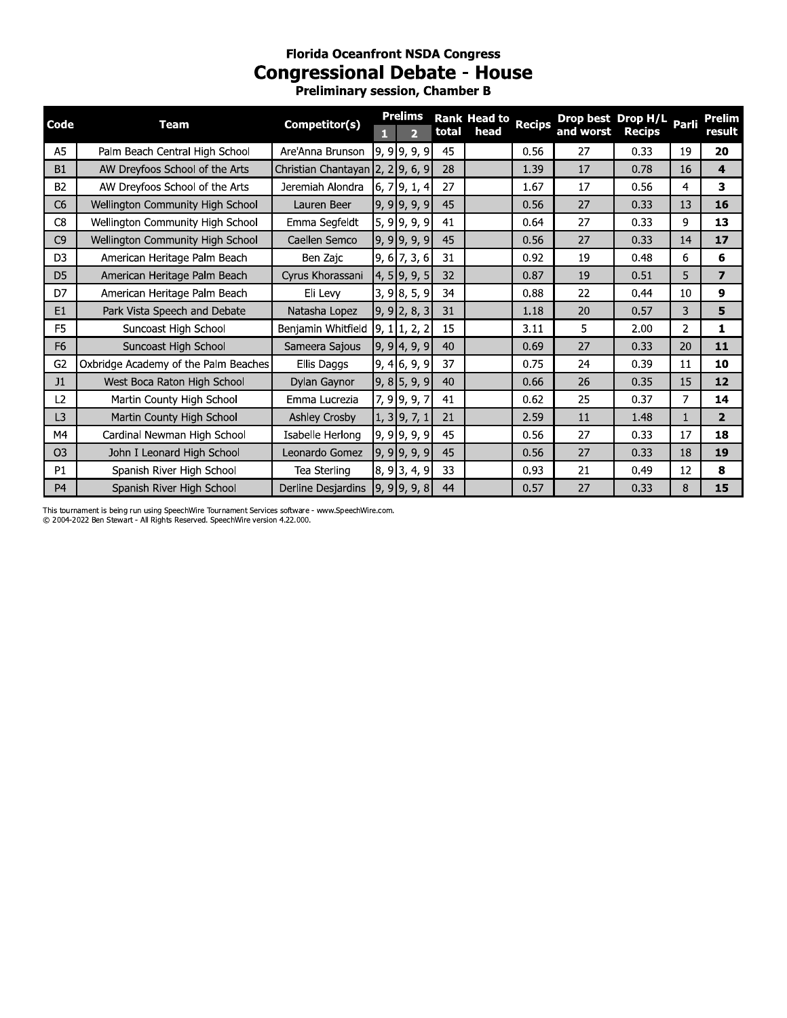# **Florida Oceanfront NSDA Congress Congressional Debate - House**

Preliminary session, Chamber B

| Code           | <b>Team</b>                          | Competitor(s)                    |                      | <b>Prelims</b> |                |       | <b>Rank Head to</b> | <b>Recips</b> | Drop best Drop H/L Parli |               |    | <b>Prelim</b>           |
|----------------|--------------------------------------|----------------------------------|----------------------|----------------|----------------|-------|---------------------|---------------|--------------------------|---------------|----|-------------------------|
|                |                                      |                                  | П                    |                | $\overline{2}$ | total | head                |               | and worst                | <b>Recips</b> |    | result                  |
| A5             | Palm Beach Central High School       | Are'Anna Brunson                 | $9, 9$ 9, 9, 9       |                |                | 45    |                     | 0.56          | 27                       | 0.33          | 19 | 20                      |
| <b>B1</b>      | AW Dreyfoos School of the Arts       | Christian Chantayan 2, 2 9, 6, 9 |                      |                |                | 28    |                     | 1.39          | 17                       | 0.78          | 16 | 4                       |
| <b>B2</b>      | AW Dreyfoos School of the Arts       | Jeremiah Alondra                 | $6, 7$ 9, 1, 4       |                |                | 27    |                     | 1.67          | 17                       | 0.56          | 4  | 3                       |
| C <sub>6</sub> | Wellington Community High School     | Lauren Beer                      | $9, 9$ 9, 9, 9       |                |                | 45    |                     | 0.56          | 27                       | 0.33          | 13 | 16                      |
| C <sub>8</sub> | Wellington Community High School     | Emma Segfeldt                    | $5, 9$ 9, 9, 9       |                |                | 41    |                     | 0.64          | 27                       | 0.33          | 9  | 13                      |
| C <sub>9</sub> | Wellington Community High School     | Caellen Semco                    | $9, 9$ 9, 9, 9       |                |                | 45    |                     | 0.56          | 27                       | 0.33          | 14 | 17                      |
| D <sub>3</sub> | American Heritage Palm Beach         | Ben Zajc                         | 9, 6 7, 3, 6         |                |                | 31    |                     | 0.92          | 19                       | 0.48          | 6  | 6                       |
| D <sub>5</sub> | American Heritage Palm Beach         | Cyrus Khorassani                 | $4, 5$ 9, 9, 5       |                |                | 32    |                     | 0.87          | 19                       | 0.51          | 5  | $\overline{\mathbf{z}}$ |
| D7             | American Heritage Palm Beach         | Eli Levy                         |                      | 3, 98, 5, 9    |                | 34    |                     | 0.88          | 22                       | 0.44          | 10 | 9                       |
| E1             | Park Vista Speech and Debate         | Natasha Lopez                    | $9, 9$ 2, 8, 3       |                |                | 31    |                     | 1.18          | 20                       | 0.57          | 3  | 5                       |
| F <sub>5</sub> | Suncoast High School                 | Benjamin Whitfield               | $9, 1 \vert 1, 2, 2$ |                |                | 15    |                     | 3.11          | 5                        | 2.00          | 2  | 1                       |
| F <sub>6</sub> | Suncoast High School                 | Sameera Sajous                   | $9, 9$ 4, 9, 9       |                |                | 40    |                     | 0.69          | 27                       | 0.33          | 20 | 11                      |
| G <sub>2</sub> | Oxbridge Academy of the Palm Beaches | Ellis Daggs                      | $9, 4$ 6, 9, 9       |                |                | 37    |                     | 0.75          | 24                       | 0.39          | 11 | 10                      |
| J1             | West Boca Raton High School          | Dylan Gaynor                     | $9, 8$ 5, 9, 9       |                |                | 40    |                     | 0.66          | 26                       | 0.35          | 15 | 12                      |
| L2             | Martin County High School            | Emma Lucrezia                    |                      | 7, 9 9, 9, 7   |                | 41    |                     | 0.62          | 25                       | 0.37          | 7  | 14                      |
| L3             | Martin County High School            | <b>Ashley Crosby</b>             |                      | $1, 3$ 9, 7, 1 |                | 21    |                     | 2.59          | 11                       | 1.48          | 1  | $\overline{2}$          |
| M4             | Cardinal Newman High School          | Isabelle Herlong                 | $9, 9$ 9, 9, 9       |                |                | 45    |                     | 0.56          | 27                       | 0.33          | 17 | 18                      |
| O <sub>3</sub> | John I Leonard High School           | Leonardo Gomez                   | $9, 9$ 9, 9, 9       |                |                | 45    |                     | 0.56          | 27                       | 0.33          | 18 | 19                      |
| P1             | Spanish River High School            | Tea Sterling                     | $8, 9$ 3, 4, 9       |                |                | 33    |                     | 0.93          | 21                       | 0.49          | 12 | 8                       |
| P <sub>4</sub> | Spanish River High School            | Derline Desjardins               | $9, 9$ 9, 9, 8       |                |                | 44    |                     | 0.57          | 27                       | 0.33          | 8  | 15                      |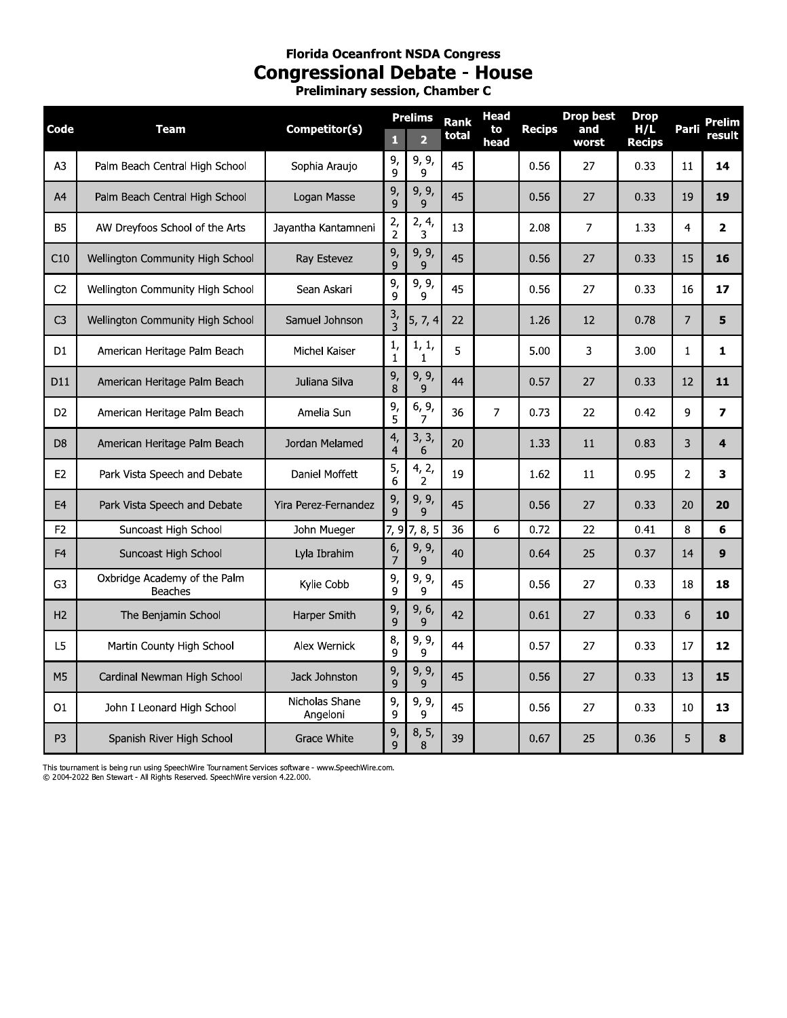# **Florida Oceanfront NSDA Congress Congressional Debate - House**<br>Preliminary session, Chamber C

|                |                                                |                            |                                               | <b>Prelims</b>          | <b>Rank</b> | <b>Head</b> |               | <b>Drop best</b> | <b>Drop</b>          |                | Prelim                  |
|----------------|------------------------------------------------|----------------------------|-----------------------------------------------|-------------------------|-------------|-------------|---------------|------------------|----------------------|----------------|-------------------------|
| Code           | <b>Team</b>                                    | Competitor(s)              | Л                                             | $\overline{2}$          | total       | to<br>head  | <b>Recips</b> | and<br>worst     | H/L<br><b>Recips</b> | Parli          | result                  |
| A <sub>3</sub> | Palm Beach Central High School                 | Sophia Araujo              | 9,<br>$\mathsf{q}$                            | 9, 9,<br>9              | 45          |             | 0.56          | 27               | 0.33                 | 11             | 14                      |
| A4             | Palm Beach Central High School                 | Logan Masse                | 9,<br>$\mathsf{q}$                            | 9, 9,<br>$\mathsf{q}$   | 45          |             | 0.56          | 27               | 0.33                 | 19             | 19                      |
| <b>B5</b>      | AW Dreyfoos School of the Arts                 | Jayantha Kantamneni        | 2,<br>$\overline{2}$                          | 2, 4,<br>3              | 13          |             | 2.08          | $\overline{7}$   | 1.33                 | 4              | $\overline{\mathbf{2}}$ |
| C10            | Wellington Community High School               | Ray Estevez                | 9,<br>$\mathbf{q}$                            | 9, 9,<br>$\mathsf{q}$   | 45          |             | 0.56          | 27               | 0.33                 | 15             | 16                      |
| C <sub>2</sub> | Wellington Community High School               | Sean Askari                | 9,<br>9                                       | 9, 9,<br>9              | 45          |             | 0.56          | 27               | 0.33                 | 16             | 17                      |
| C <sub>3</sub> | Wellington Community High School               | Samuel Johnson             | $\frac{3}{3}$                                 | 5, 7, 4                 | 22          |             | 1.26          | 12               | 0.78                 | $\overline{7}$ | 5                       |
| D <sub>1</sub> | American Heritage Palm Beach                   | Michel Kaiser              | $\mathbf{1},$<br>$\mathbf{1}$                 | 1, 1,<br>1              | 5           |             | 5.00          | 3                | 3.00                 | $\mathbf{1}$   | 1                       |
| D11            | American Heritage Palm Beach                   | Juliana Silva              | 9,<br>8                                       | 9, 9,<br>9              | 44          |             | 0.57          | 27               | 0.33                 | 12             | 11                      |
| D <sub>2</sub> | American Heritage Palm Beach                   | Amelia Sun                 | 9,<br>5                                       | 6, 9,<br>7              | 36          | 7           | 0.73          | 22               | 0.42                 | 9              | $\overline{ }$          |
| D <sub>8</sub> | American Heritage Palm Beach                   | Jordan Melamed             | $\mathcal{A}_{\mathcal{I}}$<br>$\overline{4}$ | 3, 3,<br>6              | 20          |             | 1.33          | 11               | 0.83                 | 3              | $\overline{\mathbf{4}}$ |
| E <sub>2</sub> | Park Vista Speech and Debate                   | Daniel Moffett             | 5,<br>6                                       | 4, 2,<br>$\overline{2}$ | 19          |             | 1.62          | 11               | 0.95                 | $\overline{2}$ | 3                       |
| E <sub>4</sub> | Park Vista Speech and Debate                   | Yira Perez-Fernandez       | 9,<br>$\mathsf{q}$                            | 9, 9,<br>9              | 45          |             | 0.56          | 27               | 0.33                 | 20             | 20                      |
| F <sub>2</sub> | Suncoast High School                           | John Mueger                |                                               | 7, 9 7, 8, 5            | 36          | 6           | 0.72          | 22               | 0.41                 | 8              | 6                       |
| F <sub>4</sub> | Suncoast High School                           | Lyla Ibrahim               | 6,<br>7                                       | 9, 9,<br>9              | 40          |             | 0.64          | 25               | 0.37                 | 14             | 9                       |
| G3             | Oxbridge Academy of the Palm<br><b>Beaches</b> | Kylie Cobb                 | 9,<br>9                                       | 9, 9,<br>9              | 45          |             | 0.56          | 27               | 0.33                 | 18             | 18                      |
| H <sub>2</sub> | The Benjamin School                            | Harper Smith               | 9,<br>$\mathsf{q}$                            | 9, 6,<br>9              | 42          |             | 0.61          | 27               | 0.33                 | 6              | 10                      |
| L5             | Martin County High School                      | Alex Wernick               | 8,<br>9                                       | 9, 9,<br>9              | 44          |             | 0.57          | 27               | 0.33                 | 17             | 12                      |
| M <sub>5</sub> | Cardinal Newman High School                    | Jack Johnston              | 9,<br>9                                       | 9, 9,<br>9              | 45          |             | 0.56          | 27               | 0.33                 | 13             | 15                      |
| O <sub>1</sub> | John I Leonard High School                     | Nicholas Shane<br>Angeloni | 9,<br>9                                       | 9, 9,<br>9              | 45          |             | 0.56          | 27               | 0.33                 | 10             | 13                      |
| P <sub>3</sub> | Spanish River High School                      | Grace White                | 9,<br>9                                       | 8, 5,<br>8              | 39          |             | 0.67          | 25               | 0.36                 | 5              | 8                       |

This tournament is being run using SpeechWire Tournament Services software - www.SpeechWire.com.<br>© 2004-2022 Ben Stewart - All Rights Reserved. SpeechWire version 4.22.000.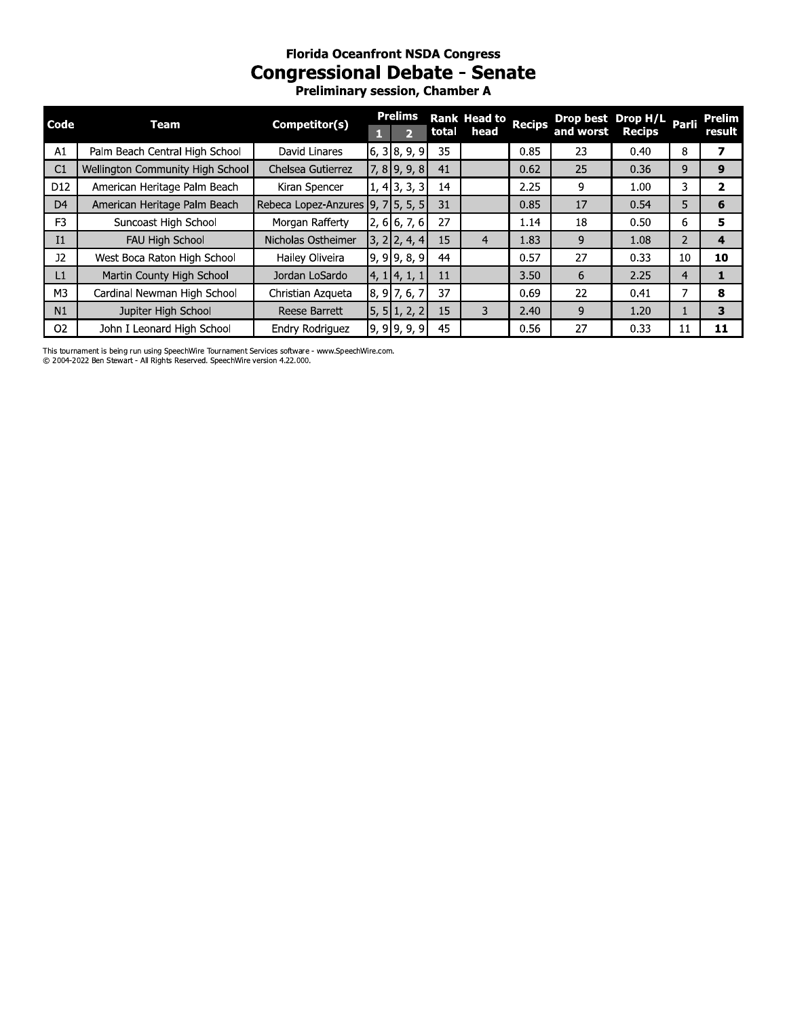# **Florida Oceanfront NSDA Congress Congressional Debate - Senate**

Preliminary session, Chamber A

| Code            | Team                                    | Competitor(s)        |  | <b>Prelims</b> |    | Rank Head to Recips |      | Drop best Drop H/L Parli |               |                | <b>Prelim</b> |
|-----------------|-----------------------------------------|----------------------|--|----------------|----|---------------------|------|--------------------------|---------------|----------------|---------------|
|                 |                                         |                      |  |                |    | total head          |      | and worst                | <b>Recips</b> |                | result        |
| A1              | Palm Beach Central High School          | David Linares        |  | $6, 3$ 8, 9, 9 | 35 |                     | 0.85 | 23                       | 0.40          | 8              |               |
| C1              | <b>Wellington Community High School</b> | Chelsea Gutierrez    |  | $7,8$ 9, 9, 8  | 41 |                     | 0.62 | 25                       | 0.36          | 9              | 9             |
| D <sub>12</sub> | American Heritage Palm Beach            | Kiran Spencer        |  | $1, 4$ 3, 3, 3 | 14 |                     | 2.25 | 9                        | 1.00          | 3              | 2             |
| D <sub>4</sub>  | American Heritage Palm Beach            | Rebeca Lopez-Anzures |  | $9, 7$ 5, 5, 5 | 31 |                     | 0.85 | 17                       | 0.54          | 5              | 6             |
| F <sub>3</sub>  | Suncoast High School                    | Morgan Rafferty      |  | $2, 6$ 6, 7, 6 | 27 |                     | 1.14 | 18                       | 0.50          | 6              | 5             |
| I1              | FAU High School                         | Nicholas Ostheimer   |  | $3, 2$ 2, 4, 4 | 15 |                     | 1.83 | 9                        | 1.08          | $\overline{2}$ | 4             |
| 12 <sup>2</sup> | West Boca Raton High School             | Hailey Oliveira      |  | $9, 9$ 9, 8, 9 | 44 |                     | 0.57 | 27                       | 0.33          | 10             | 10            |
| L1              | Martin County High School               | Jordan LoSardo       |  | 4, 1 4, 1,     | 11 |                     | 3.50 | 6                        | 2.25          | 4              |               |
| M <sub>3</sub>  | Cardinal Newman High School             | Christian Azqueta    |  | $8, 9$ 7, 6,   | 37 |                     | 0.69 | 22                       | 0.41          | 7              | 8             |
| N1              | Jupiter High School                     | Reese Barrett        |  | 5, 5   1, 2, 2 | 15 | 3                   | 2.40 | 9                        | 1.20          |                | 3             |
| O <sub>2</sub>  | John I Leonard High School              | Endry Rodriguez      |  | 9, 9, 9, 9, 9  | 45 |                     | 0.56 | 27                       | 0.33          | 11             | 11            |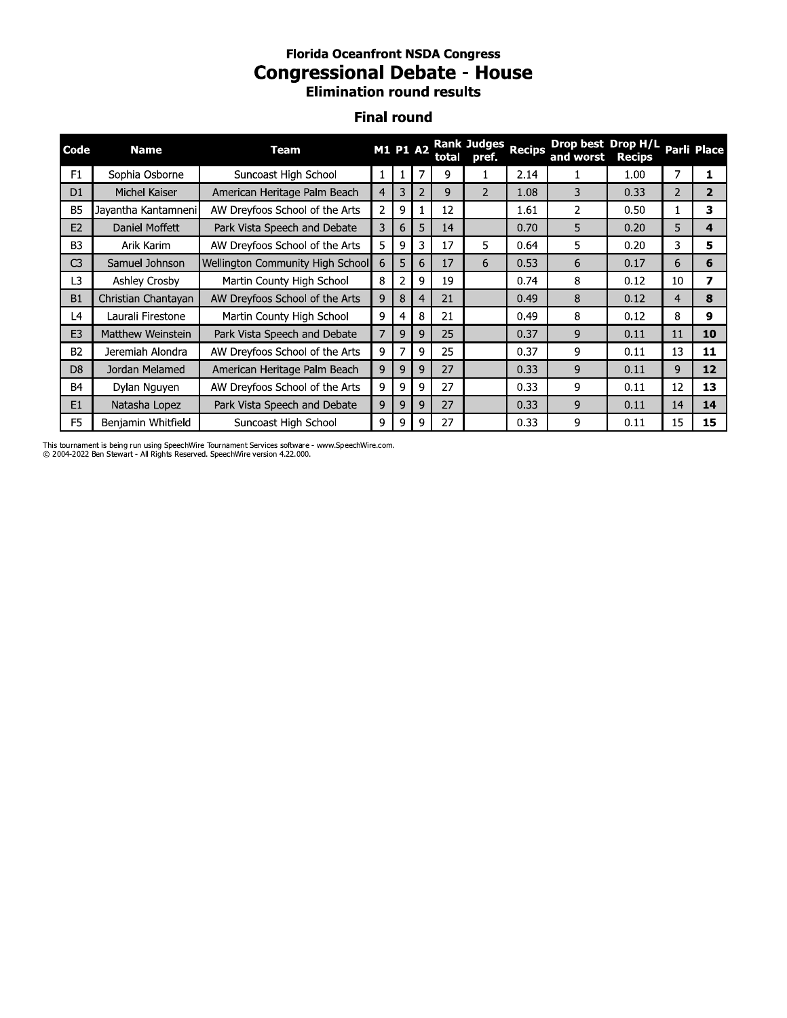### **Florida Oceantront NSDA Congress** Congressional Debate - House Elimination round resuits

# Finai round

|                | <b>Florida Oceanfront NSDA Congress</b><br><b>Congressional Debate - House</b><br><b>Elimination round results</b><br><b>Final round</b>                               |                                  |                |                |              |    |                |      |                |      |                |                         |
|----------------|------------------------------------------------------------------------------------------------------------------------------------------------------------------------|----------------------------------|----------------|----------------|--------------|----|----------------|------|----------------|------|----------------|-------------------------|
| Code           | Drop best Drop H/L Parli Place<br><b>Rank Judges</b><br><b>Recips</b><br><b>M1 P1 A2</b><br><b>Name</b><br><b>Team</b><br>and worst<br>total<br>pref.<br><b>Recips</b> |                                  |                |                |              |    |                |      |                |      |                |                         |
| F1             | Sophia Osborne                                                                                                                                                         | Suncoast High School             | $\mathbf{1}$   | $\mathbf{1}$   | 7            | 9  | $\mathbf{1}$   | 2.14 | $\mathbf{1}$   | 1.00 | 7              | $\mathbf{1}$            |
| D <sub>1</sub> | Michel Kaiser                                                                                                                                                          | American Heritage Palm Beach     | $\overline{4}$ | 3              | 2            | 9  | $\overline{2}$ | 1.08 | 3              | 0.33 | $\overline{2}$ | $\overline{2}$          |
| <b>B5</b>      | Jayantha Kantamneni                                                                                                                                                    | AW Dreyfoos School of the Arts   | $\overline{2}$ | 9              | $\mathbf{1}$ | 12 |                | 1.61 | $\overline{2}$ | 0.50 | $\mathbf{1}$   | 3                       |
| E2             | Daniel Moffett                                                                                                                                                         | Park Vista Speech and Debate     | 3              | 6              | 5            | 14 |                | 0.70 | 5              | 0.20 | 5              | $\overline{\mathbf{A}}$ |
| B <sub>3</sub> | Arik Karim                                                                                                                                                             | AW Dreyfoos School of the Arts   | 5.             | 9              | 3            | 17 | 5.             | 0.64 | 5.             | 0.20 | 3              | 5.                      |
| C <sub>3</sub> | Samuel Johnson                                                                                                                                                         | Wellington Community High School | 6              | 5              | 6            | 17 | 6              | 0.53 | 6              | 0.17 | 6              | 6                       |
| L3             | Ashley Crosby                                                                                                                                                          | Martin County High School        | 8              | $\overline{2}$ | 9            | 19 |                | 0.74 | 8              | 0.12 | 10             | 7                       |
| B1             | Christian Chantayan                                                                                                                                                    | AW Dreyfoos School of the Arts   | 9              | 8              | 4            | 21 |                | 0.49 | 8              | 0.12 | $\overline{4}$ | 8                       |
| L4             | Laurali Firestone                                                                                                                                                      | Martin County High School        | 9              | 4              | 8            | 21 |                | 0.49 | 8              | 0.12 | 8              | 9                       |
| E <sub>3</sub> | Matthew Weinstein                                                                                                                                                      | Park Vista Speech and Debate     | $\overline{7}$ | 9              | 9            | 25 |                | 0.37 | 9              | 0.11 | 11             | 10                      |
| B <sub>2</sub> | Jeremiah Alondra                                                                                                                                                       | AW Dreyfoos School of the Arts   | 9              | $\overline{7}$ | 9            | 25 |                | 0.37 | 9              | 0.11 | 13             | 11                      |
| D <sub>8</sub> | Jordan Melamed                                                                                                                                                         | American Heritage Palm Beach     | 9              | 9              | 9            | 27 |                | 0.33 | 9              | 0.11 | 9              | 12                      |
| B4             | Dylan Nguyen                                                                                                                                                           | AW Dreyfoos School of the Arts   | 9              | 9              | 9            | 27 |                | 0.33 | 9              | 0.11 | 12             | 13                      |
| E1             | Natasha Lopez                                                                                                                                                          | Park Vista Speech and Debate     | 9              | 9              | 9            | 27 |                | 0.33 | 9              | 0.11 | 14             | 14                      |
| F <sub>5</sub> | Benjamin Whitfield                                                                                                                                                     | Suncoast High School             | 9              | 9              | 9            | 27 |                | 0.33 | 9              | 0.11 | 15             | 15                      |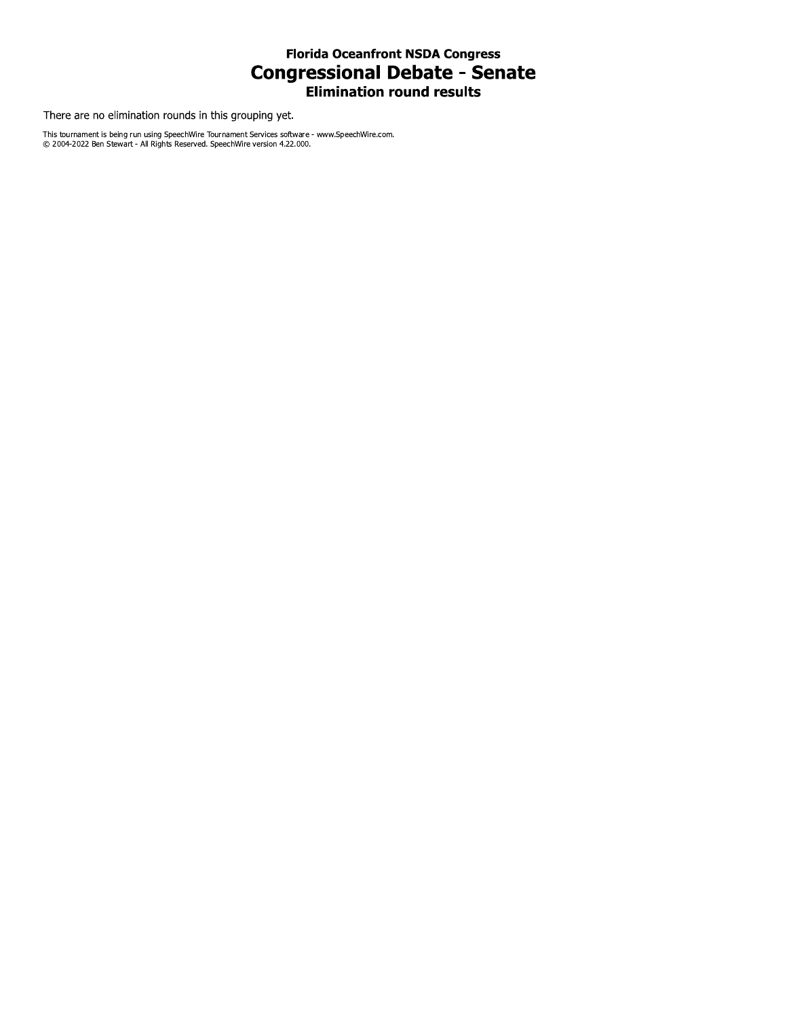#### **Florida Oceanfront NSDA Congress Congressional Debate - Senate Elimination round results**

There are no elimination rounds in this grouping yet.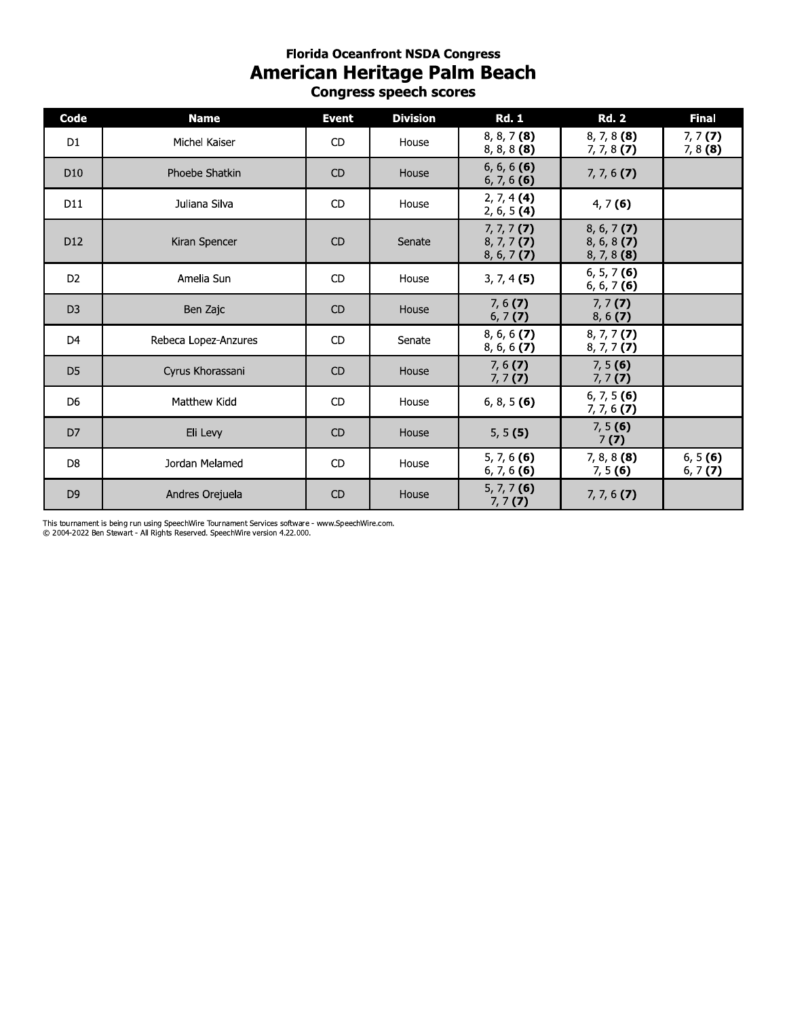## **Florida Oceantront NSDA Congress** American Heritage Palm Beach **Congress speecn scores**

|                 | <b>Florida Oceanfront NSDA Congress</b><br><b>American Heritage Palm Beach</b><br><b>Congress speech scores</b> |              |                 |                                                 |                                                 |                       |  |  |  |  |  |  |  |
|-----------------|-----------------------------------------------------------------------------------------------------------------|--------------|-----------------|-------------------------------------------------|-------------------------------------------------|-----------------------|--|--|--|--|--|--|--|
| Code            | <b>Name</b>                                                                                                     | <b>Event</b> | <b>Division</b> | <b>Rd. 1</b>                                    | <b>Rd. 2</b>                                    | <b>Final</b>          |  |  |  |  |  |  |  |
| D <sub>1</sub>  | Michel Kaiser                                                                                                   | <b>CD</b>    | House           | $8, 8, 7$ (8)<br>$8, 8, 8$ (8)                  | $8, 7, 8$ (8)<br>$7, 7, 8$ (7)                  | 7, 7(7)<br>$7, 8$ (8) |  |  |  |  |  |  |  |
| D <sub>10</sub> | Phoebe Shatkin                                                                                                  | <b>CD</b>    | House           | $6, 6, 6$ (6)<br>$6, 7, 6$ (6)                  | $7, 7, 6$ (7)                                   |                       |  |  |  |  |  |  |  |
| D11             | Juliana Silva                                                                                                   | <b>CD</b>    | House           | 2, 7, 4(4)<br>2, 6, 5 (4)                       | 4, 7(6)                                         |                       |  |  |  |  |  |  |  |
| D <sub>12</sub> | Kiran Spencer                                                                                                   | <b>CD</b>    | Senate          | $7, 7, 7$ (7)<br>$8, 7, 7$ (7)<br>$8, 6, 7$ (7) | $8, 6, 7$ (7)<br>$8, 6, 8$ (7)<br>$8, 7, 8$ (8) |                       |  |  |  |  |  |  |  |
| D <sub>2</sub>  | Amelia Sun                                                                                                      | <b>CD</b>    | House           | $3, 7, 4$ (5)                                   | $6, 5, 7$ (6)<br>$6, 6, 7$ (6)                  |                       |  |  |  |  |  |  |  |
| D <sub>3</sub>  | Ben Zajc                                                                                                        | <b>CD</b>    | House           | 7, 6(7)<br>6, 7(7)                              | 7, 7(7)<br>8, 6(7)                              |                       |  |  |  |  |  |  |  |
| D <sub>4</sub>  | Rebeca Lopez-Anzures                                                                                            | CD           | Senate          | $8, 6, 6$ (7)<br>$8, 6, 6$ (7)                  | $8, 7, 7$ (7)<br>$8, 7, 7$ (7)                  |                       |  |  |  |  |  |  |  |
| D <sub>5</sub>  | Cyrus Khorassani                                                                                                | <b>CD</b>    | House           | 7, 6(7)<br>7, 7(7)                              | 7, 5(6)<br>7, 7(7)                              |                       |  |  |  |  |  |  |  |
| D <sub>6</sub>  | Matthew Kidd                                                                                                    | <b>CD</b>    | House           | $6, 8, 5$ (6)                                   | $6, 7, 5$ (6)<br>$7, 7, 6$ (7)                  |                       |  |  |  |  |  |  |  |
| D <sub>7</sub>  | Eli Levy                                                                                                        | <b>CD</b>    | House           | 5, 5(5)                                         | 7, 5(6)<br>7(7)                                 |                       |  |  |  |  |  |  |  |
| D <sub>8</sub>  | Jordan Melamed                                                                                                  | <b>CD</b>    | House           | $5, 7, 6$ (6)<br>$6, 7, 6$ (6)                  | $7, 8, 8$ (8)<br>7, 5(6)                        | 6, 5(6)<br>6, 7 $(7)$ |  |  |  |  |  |  |  |
| D <sub>9</sub>  | Andres Orejuela                                                                                                 | <b>CD</b>    | House           | $5, 7, 7$ (6)<br>$7, 7$ (7)                     | $7, 7, 6$ (7)                                   |                       |  |  |  |  |  |  |  |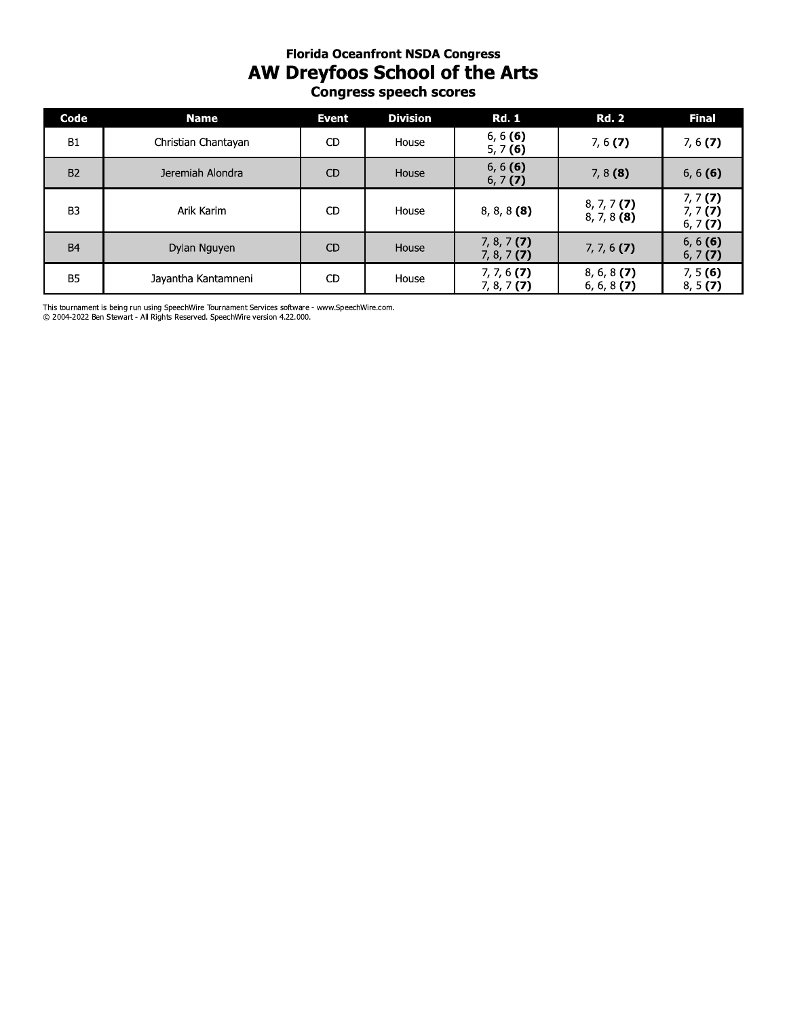# **Florida Oceanfront NSDA Congress AW Dreyfoos School of the Arts**<br>Congress speech scores

| Code           | <b>Name</b>         | <b>Event</b> | <b>Division</b> | <b>Rd. 1</b>                   | <b>Rd. 2</b>                   | <b>Final</b>                  |
|----------------|---------------------|--------------|-----------------|--------------------------------|--------------------------------|-------------------------------|
| <b>B1</b>      | Christian Chantayan | <b>CD</b>    | House           | 6, 6(6)<br>5, 7(6)             | 7, 6(7)                        | 7, 6(7)                       |
| <b>B2</b>      | Jeremiah Alondra    | <b>CD</b>    | House           | 6, 6(6)<br>6, 7(7)             | $7, 8$ (8)                     | 6, 6(6)                       |
| B <sub>3</sub> | Arik Karim          | <b>CD</b>    | House           | $8, 8, 8$ (8)                  | $8, 7, 7$ (7)<br>$8, 7, 8$ (8) | 7, 7(7)<br>7, 7(7)<br>6, 7(7) |
| <b>B4</b>      | Dylan Nguyen        | <b>CD</b>    | House           | $7, 8, 7$ (7)<br>$7, 8, 7$ (7) | $7, 7, 6$ (7)                  | 6, 6(6)<br>6, 7(7)            |
| <b>B5</b>      | Jayantha Kantamneni | <b>CD</b>    | House           | $7, 7, 6$ (7)<br>$7, 8, 7$ (7) | $8, 6, 8$ (7)<br>$6, 6, 8$ (7) | 7, 5(6)<br>8, 5(7)            |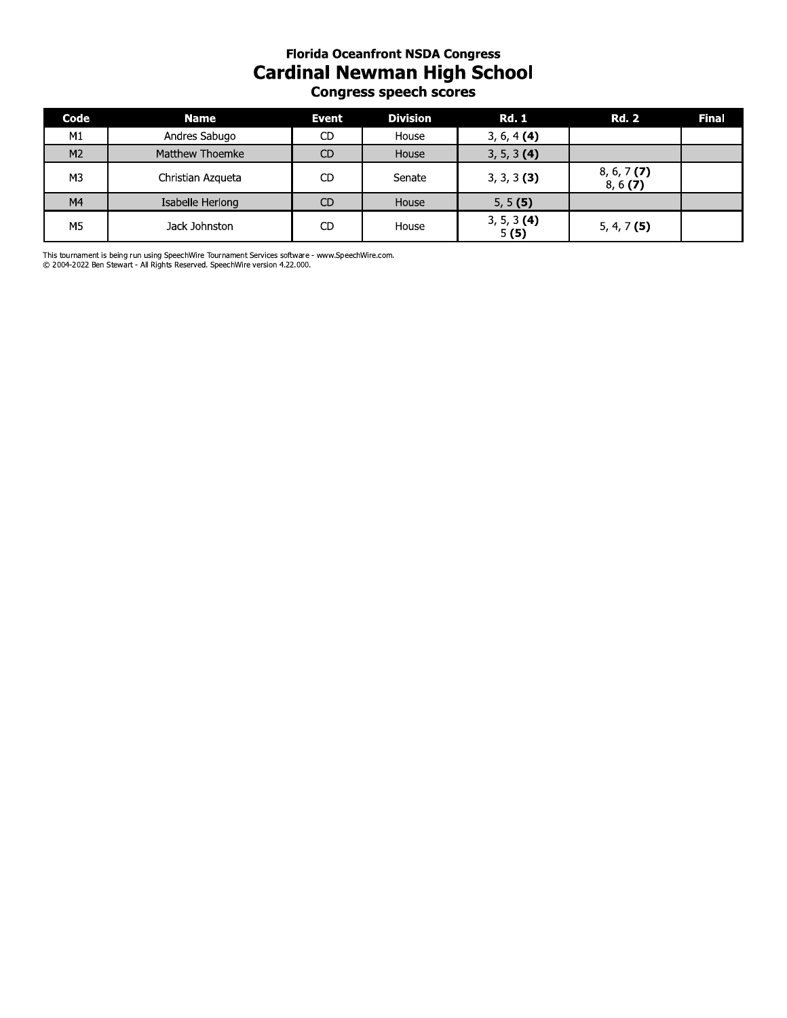#### **Florida Oceanfront NSDA Congress Cardinal Newman High School** Congress speech scores

| Code           | <b>Name</b>            | <b>Event</b> | <b>Division</b> | <b>Rd. 1</b>          | <b>Rd. 2</b>             | <b>Final</b> |
|----------------|------------------------|--------------|-----------------|-----------------------|--------------------------|--------------|
| M <sub>1</sub> | Andres Sabugo          | <b>CD</b>    | House           | $3, 6, 4$ (4)         |                          |              |
| M <sub>2</sub> | <b>Matthew Thoemke</b> | <b>CD</b>    | House           | 3, 5, 3 (4)           |                          |              |
| M <sub>3</sub> | Christian Azqueta      | <b>CD</b>    | Senate          | $3, 3, 3$ (3)         | $8, 6, 7$ (7)<br>8, 6(7) |              |
| M4             | Isabelle Herlong       | <b>CD</b>    | House           | 5, 5(5)               |                          |              |
| M <sub>5</sub> | Jack Johnston          | <b>CD</b>    | House           | $3, 5, 3$ (4)<br>5(5) | $5, 4, 7$ (5)            |              |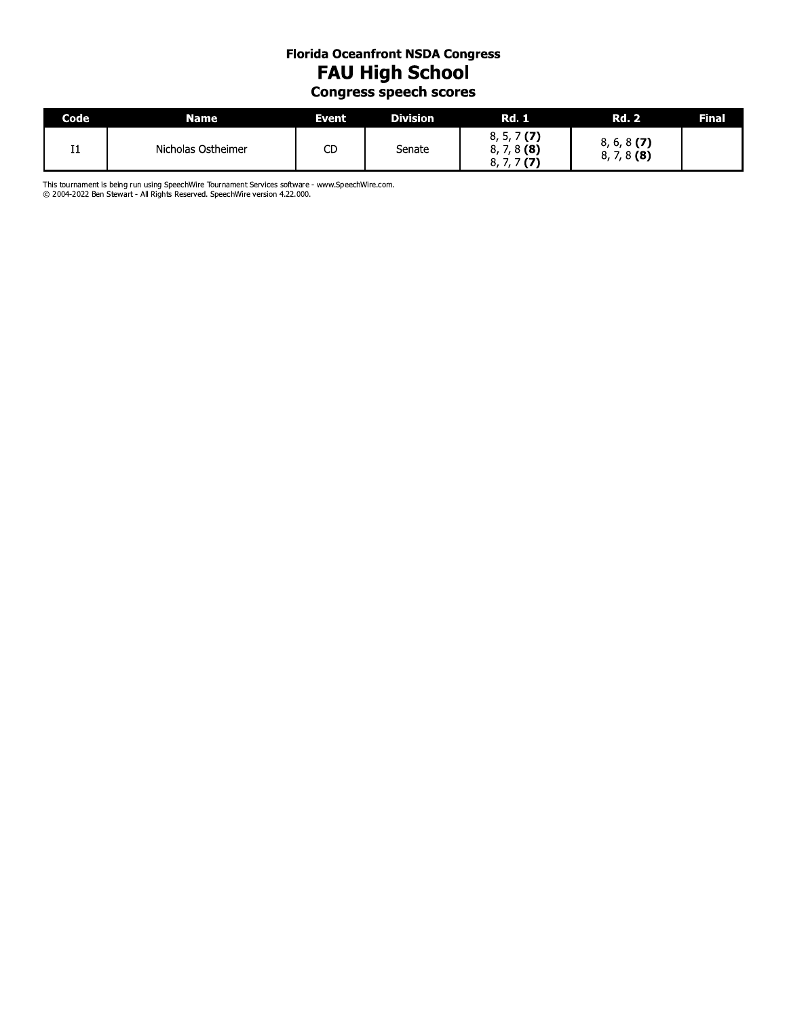## **Florida Oceanfront NSDA Congress FAU High School** Congress speech scores

| <b>Code</b>    | Name               | Event, | <b>Division</b> | Rd. 1                               | <b>Rd. 2</b>                    | Final |
|----------------|--------------------|--------|-----------------|-------------------------------------|---------------------------------|-------|
| I <sub>1</sub> | Nicholas Ostheimer | СC     | Senate          | 7(7)<br>8, 5, 7<br>8(8)<br>8,<br>8. | $8, 6, 8$ (7)<br>7,8(8)<br>8, 7 |       |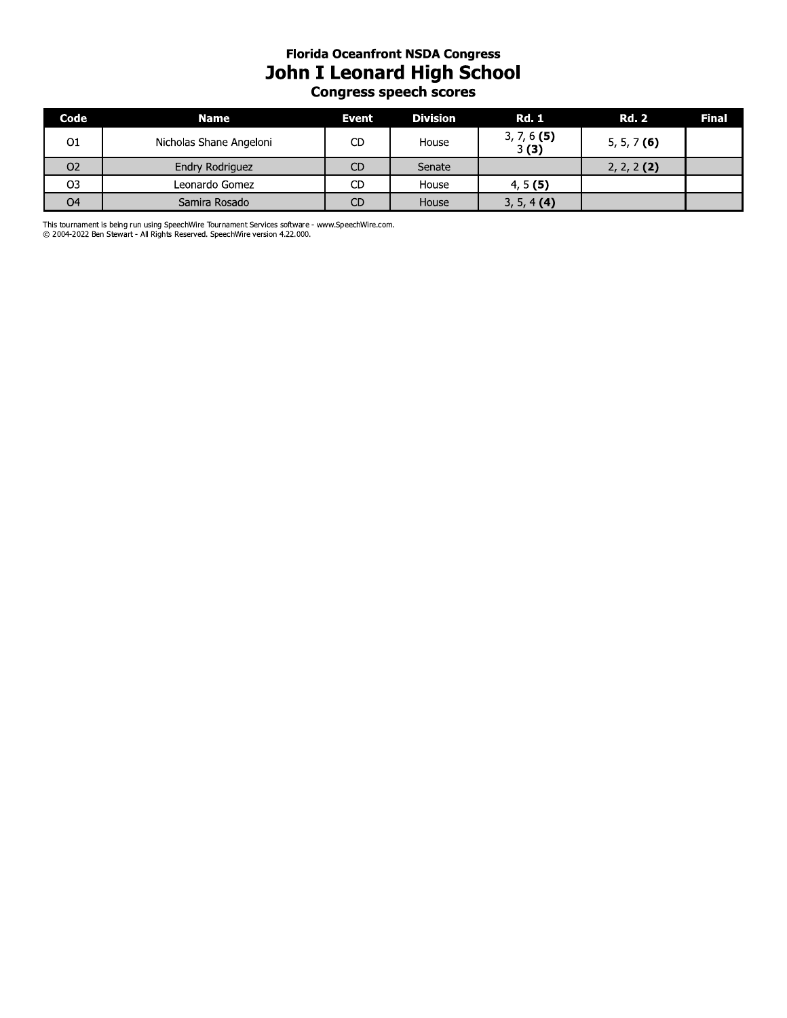#### **Florida Oceanfront NSDA Congress** John I Leonard High School Congress speech scores

| Code           | <b>Name</b>             | Event     | <b>Division</b> | <b>Rd. 1</b>          | <b>Rd. 2</b>  | Final |
|----------------|-------------------------|-----------|-----------------|-----------------------|---------------|-------|
| O1             | Nicholas Shane Angeloni | CD        | House           | $3, 7, 6$ (5)<br>3(3) | $5, 5, 7$ (6) |       |
| O <sub>2</sub> | Endry Rodriguez         | <b>CD</b> | Senate          |                       | $2, 2, 2$ (2) |       |
| O3             | Leonardo Gomez          | CD        | House           | 4, 5(5)               |               |       |
| O <sub>4</sub> | Samira Rosado           | <b>CD</b> | House           | 3, 5, 4(4)            |               |       |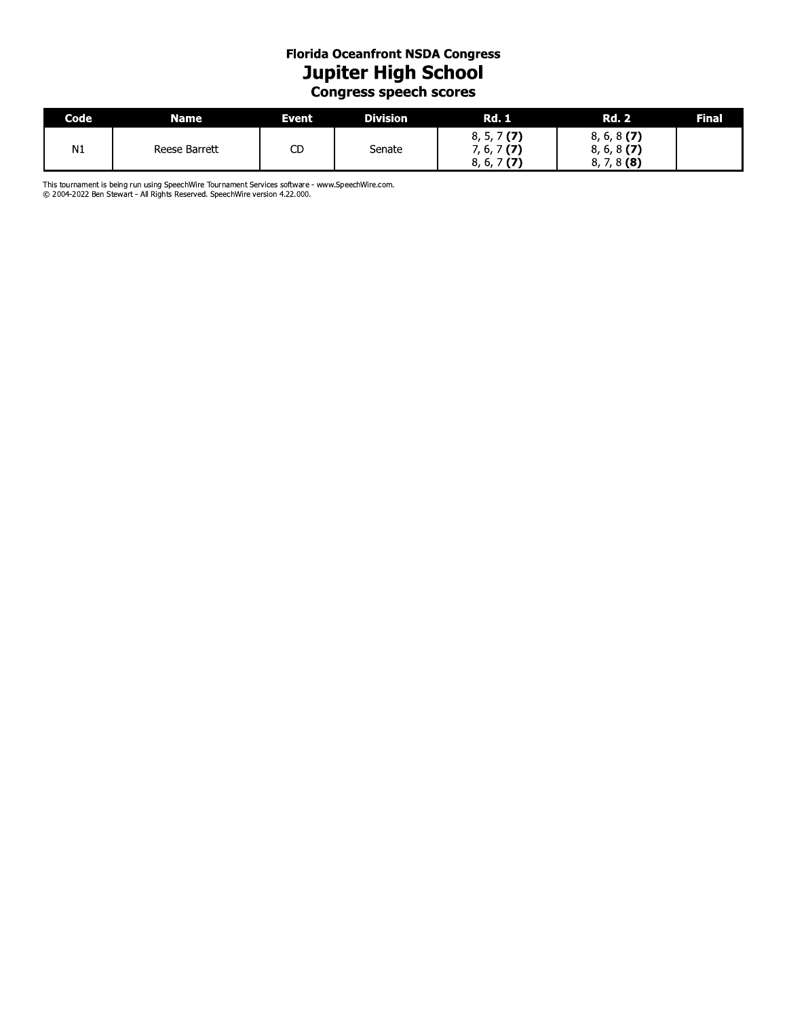# **Florida Oceanfront NSDA Congress** Jupiter High School<br>Congress speech scores

| Code | Name          | Event | <b>Division</b> | <b>Rd. 1</b>                                           | <b>Rd. 2</b>                                    | Final |
|------|---------------|-------|-----------------|--------------------------------------------------------|-------------------------------------------------|-------|
| N1   | Reese Barrett | СC    | Senate          | (7)<br>.J. /<br>o,<br>(7)<br>b, /<br>(7)<br>0, ,<br>о, | $8, 6, 8$ (7)<br>$8, 6, 8$ (7)<br>$8, 7, 8$ (8) |       |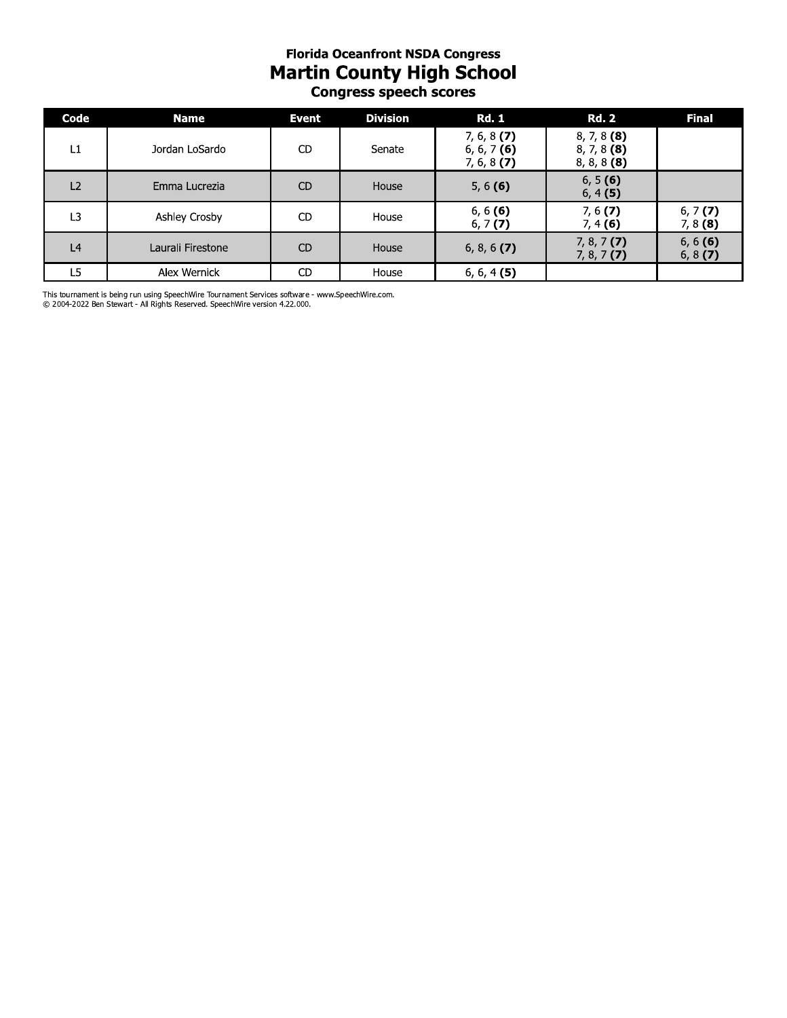#### **Florida Oceanfront NSDA Congress Martin County High School** Congress speech scores

| Code           | <b>Name</b>       | <b>Event</b>   | <b>Division</b> | <b>Rd. 1</b>                                    | <b>Rd. 2</b>                                    | <b>Final</b>          |
|----------------|-------------------|----------------|-----------------|-------------------------------------------------|-------------------------------------------------|-----------------------|
| L1             | Jordan LoSardo    | CD             | Senate          | $7, 6, 8$ (7)<br>$6, 6, 7$ (6)<br>$7, 6, 8$ (7) | $8, 7, 8$ (8)<br>$8, 7, 8$ (8)<br>$8, 8, 8$ (8) |                       |
| L2             | Emma Lucrezia     | <b>CD</b>      | House           | 5, $6(6)$                                       | 6, 5(6)<br>6, 4(5)                              |                       |
| L3             | Ashley Crosby     | CD             | House           | 6, 6(6)<br>6, 7(7)                              | 7, 6(7)<br>7, 4(6)                              | 6, 7(7)<br>$7, 8$ (8) |
| L <sub>4</sub> | Laurali Firestone | C <sub>D</sub> | House           | $6, 8, 6$ (7)                                   | $7, 8, 7$ (7)<br>$7, 8, 7$ (7)                  | 6, 6(6)<br>6, 8(7)    |
| L5             | Alex Wernick      | CD             | House           | $6, 6, 4$ (5)                                   |                                                 |                       |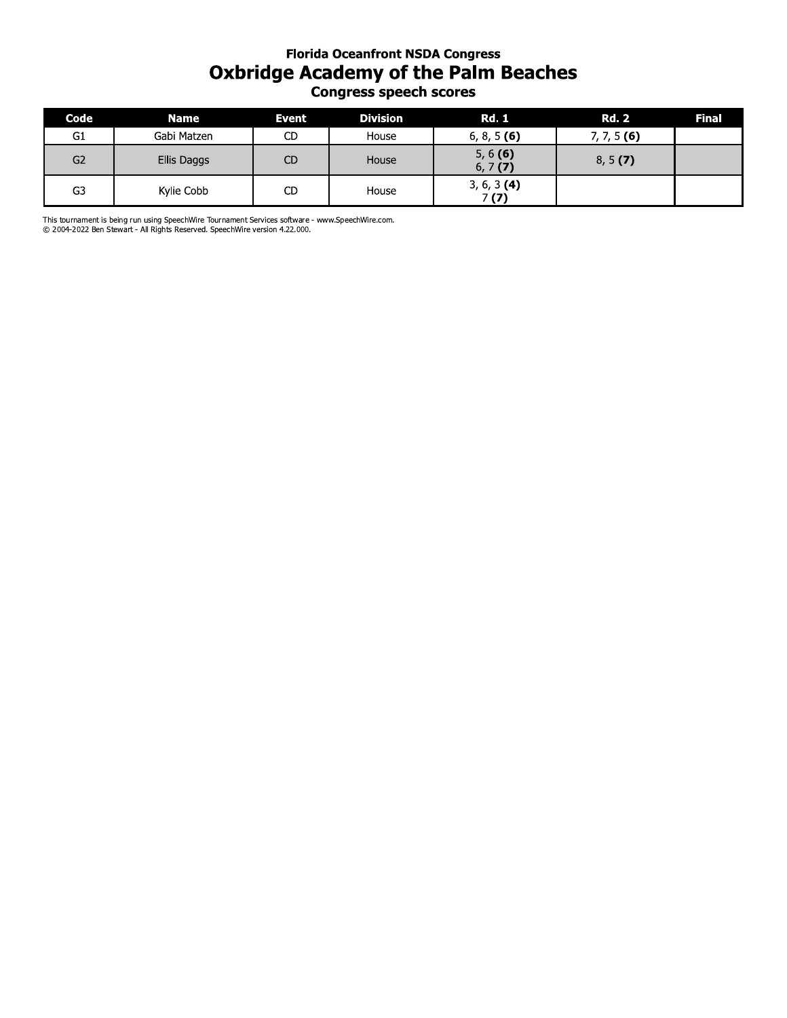### **Florida Oceantront NSDA Congress Oxbridge Academy of the Paim Beaches Congress speecn scores**

| <b>Florida Oceanfront NSDA Congress</b><br><b>Oxbridge Academy of the Palm Beaches</b><br><b>Congress speech scores</b> |                                                                                                                                                                                 |           |                 |                       |               |       |  |  |
|-------------------------------------------------------------------------------------------------------------------------|---------------------------------------------------------------------------------------------------------------------------------------------------------------------------------|-----------|-----------------|-----------------------|---------------|-------|--|--|
| Code                                                                                                                    | <b>Name</b>                                                                                                                                                                     | Event     | <b>Division</b> | <b>Rd. 1</b>          | <b>Rd. 2</b>  | Final |  |  |
| G1                                                                                                                      | Gabi Matzen                                                                                                                                                                     | CD.       | House           | 6, 8, 5 (6)           | $7, 7, 5$ (6) |       |  |  |
| G2                                                                                                                      | Ellis Daggs                                                                                                                                                                     | <b>CD</b> | House           | 5, 6(6)<br>6, 7(7)    | 8, 5(7)       |       |  |  |
| G3                                                                                                                      | Kylie Cobb                                                                                                                                                                      | CD        | House           | $3, 6, 3$ (4)<br>7(7) |               |       |  |  |
|                                                                                                                         | This tournament is being run using SpeechWire Tournament Services software - www.SpeechWire.com.<br>© 2004-2022 Ben Stewart - All Rights Reserved. SpeechWire version 4.22.000. |           |                 |                       |               |       |  |  |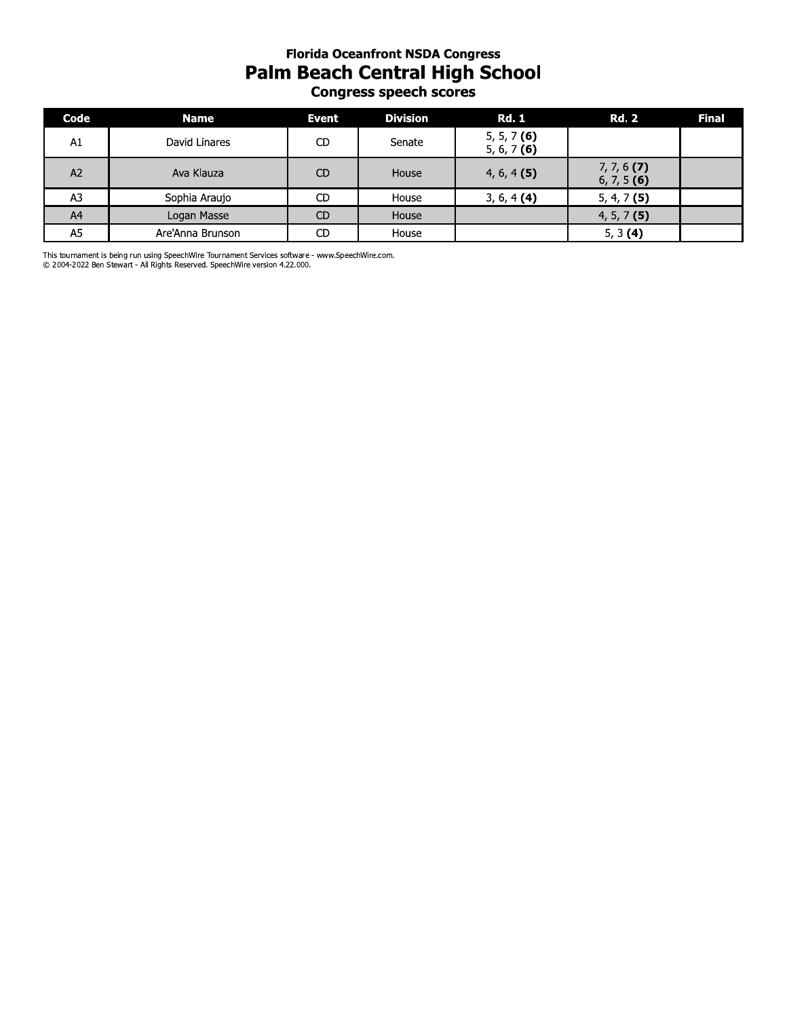#### **Florida Oceanfront NSDA Congress** Palm Beach Central High School Congress speech scores

| Code | <b>Name</b>      | <b>Event</b>   | <b>Division</b> | <b>Rd. 1</b>                   | <b>Rd. 2</b>                   | <b>Final</b> |
|------|------------------|----------------|-----------------|--------------------------------|--------------------------------|--------------|
| A1   | David Linares    | CD             | Senate          | $5, 5, 7$ (6)<br>5, 6, 7 $(6)$ |                                |              |
| A2   | Ava Klauza       | C <sub>D</sub> | House           | $4, 6, 4$ (5)                  | $7, 7, 6$ (7)<br>$6, 7, 5$ (6) |              |
| A3   | Sophia Araujo    | CD             | House           | $3, 6, 4$ (4)                  | $5, 4, 7$ (5)                  |              |
| A4   | Logan Masse      | <b>CD</b>      | House           |                                | $4, 5, 7$ (5)                  |              |
| A5   | Are'Anna Brunson | CD             | House           |                                | 5, 3(4)                        |              |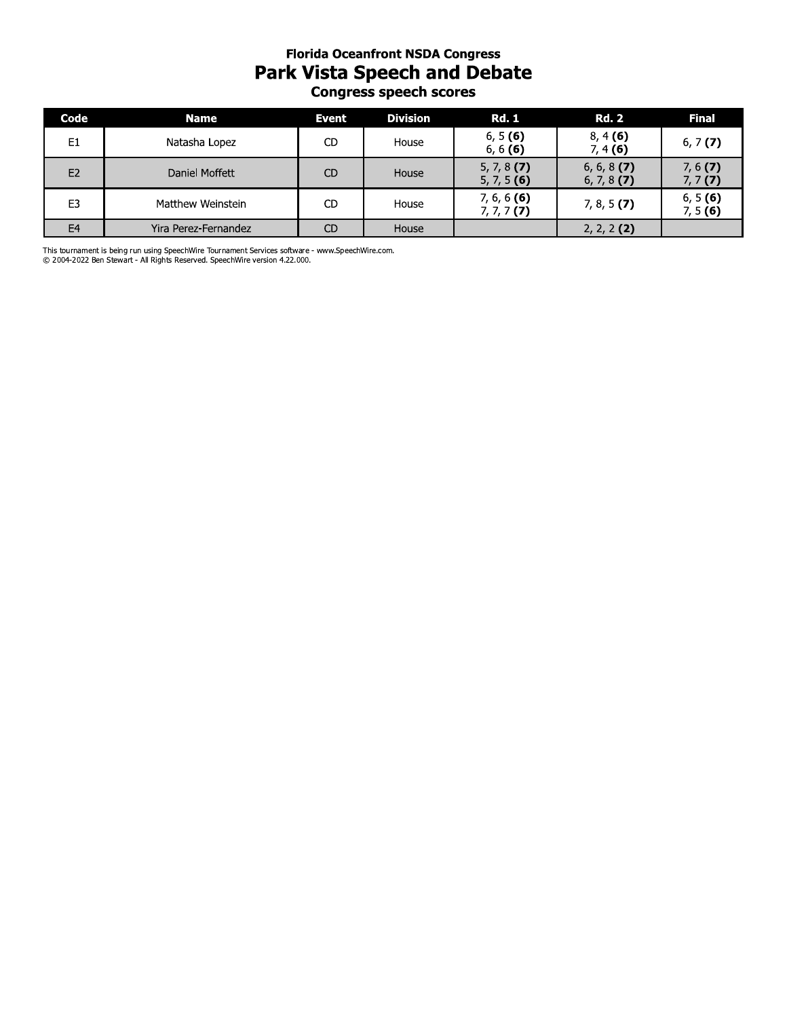## **Florida Oceantront NSDA Congress** Park vista Speech and Debate **Congress speecn scores**

| <b>Florida Oceanfront NSDA Congress</b><br><b>Park Vista Speech and Debate</b><br><b>Congress speech scores</b> |                                                                                                                                                                                 |           |                 |                                |                                |                    |  |
|-----------------------------------------------------------------------------------------------------------------|---------------------------------------------------------------------------------------------------------------------------------------------------------------------------------|-----------|-----------------|--------------------------------|--------------------------------|--------------------|--|
| Code                                                                                                            | <b>Name</b>                                                                                                                                                                     | Event     | <b>Division</b> | <b>Rd. 1</b>                   | <b>Rd. 2</b>                   | <b>Final</b>       |  |
| E1                                                                                                              | Natasha Lopez                                                                                                                                                                   | CD.       | House           | 6, 5(6)<br>6, 6 (6)            | 8, 4(6)<br>7, 4(6)             | 6, 7 $(7)$         |  |
| E2                                                                                                              | Daniel Moffett                                                                                                                                                                  | <b>CD</b> | House           | $5, 7, 8$ (7)<br>$5, 7, 5$ (6) | $6, 6, 8$ (7)<br>$6, 7, 8$ (7) | 7, 6(7)<br>7, 7(7) |  |
| E <sub>3</sub>                                                                                                  | Matthew Weinstein                                                                                                                                                               | <b>CD</b> | House           | $7, 6, 6$ (6)<br>$7, 7, 7$ (7) | $7, 8, 5$ (7)                  | 6, 5(6)<br>7, 5(6) |  |
| E <sub>4</sub>                                                                                                  | Yira Perez-Fernandez                                                                                                                                                            | <b>CD</b> | House           |                                | $2, 2, 2$ (2)                  |                    |  |
|                                                                                                                 | This tournament is being run using SpeechWire Tournament Services software - www.SpeechWire.com.<br>© 2004-2022 Ben Stewart - All Rights Reserved. SpeechWire version 4.22.000. |           |                 |                                |                                |                    |  |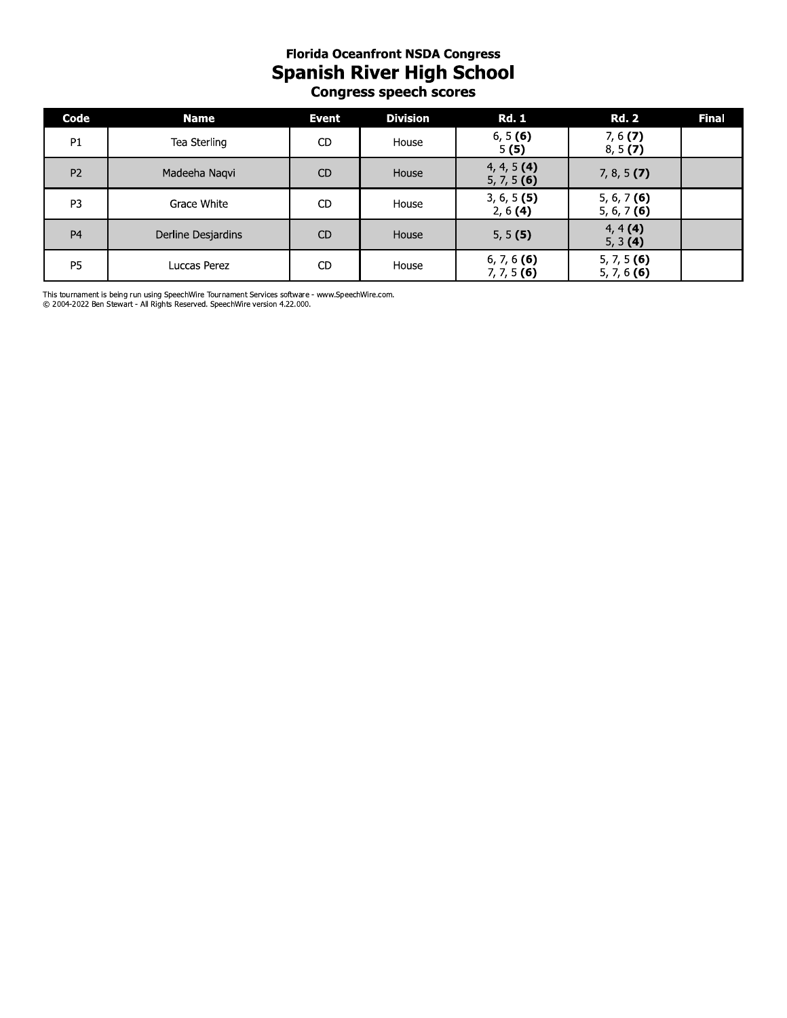# **Florida Oceanfront NSDA Congress Spanish River High School**<br>Congress speech scores

| Code           | <b>Name</b>        | Event          | <b>Division</b> | <b>Rd. 1</b>                   | <b>Rd. 2</b>                   | <b>Final</b> |
|----------------|--------------------|----------------|-----------------|--------------------------------|--------------------------------|--------------|
| P <sub>1</sub> | Tea Sterling       | CD.            | House           | 6, 5(6)<br>5(5)                | 7, 6(7)<br>8, 5(7)             |              |
| P <sub>2</sub> | Madeeha Nagvi      | CD             | House           | $4, 4, 5$ (4)<br>5, 7, 5(6)    | $7, 8, 5$ (7)                  |              |
| P <sub>3</sub> | Grace White        | CD             | House           | $3, 6, 5$ (5)<br>2, 6(4)       | 5, 6, 7 $(6)$<br>5, 6, 7 $(6)$ |              |
| P <sub>4</sub> | Derline Desjardins | C <sub>D</sub> | House           | 5, 5(5)                        | 4, 4(4)<br>5, 3(4)             |              |
| P <sub>5</sub> | Luccas Perez       | CD.            | House           | $6, 7, 6$ (6)<br>$7, 7, 5$ (6) | $5, 7, 5$ (6)<br>$5, 7, 6$ (6) |              |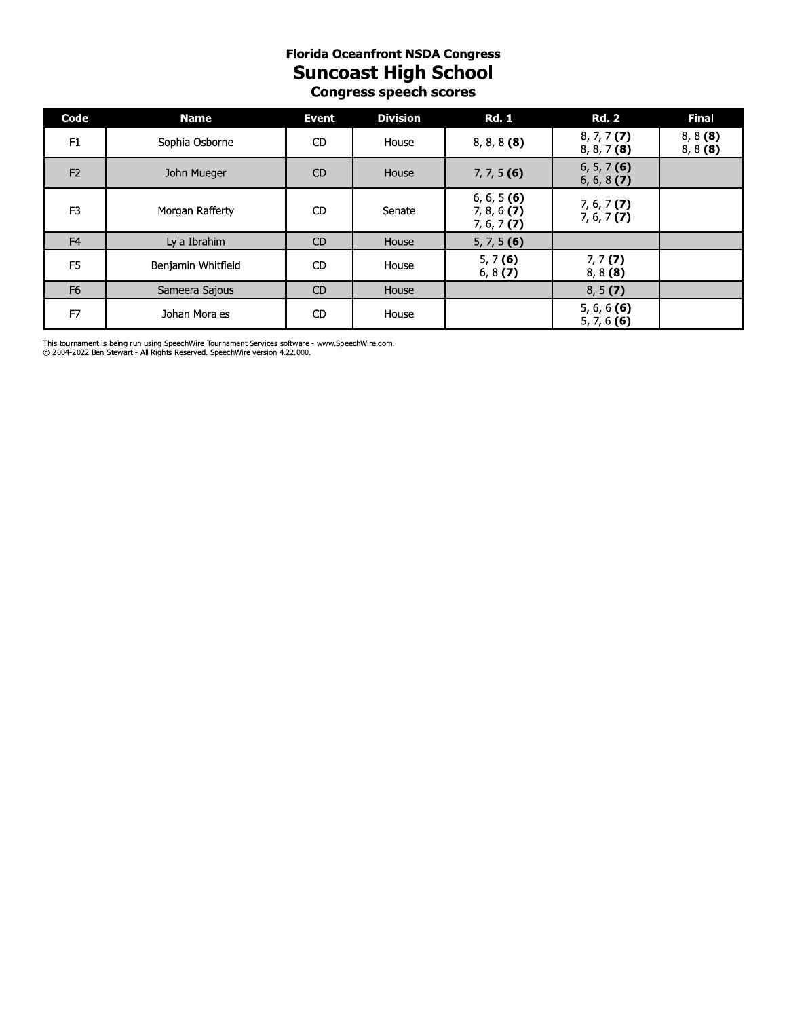## **Florida Oceantront NSDA Congress** Suncoast High School **Congress speecn scores**

| <b>Florida Oceanfront NSDA Congress</b><br><b>Suncoast High School</b><br><b>Congress speech scores</b> |                                                                                                                                                                                 |                |                 |                                               |                                |                          |  |
|---------------------------------------------------------------------------------------------------------|---------------------------------------------------------------------------------------------------------------------------------------------------------------------------------|----------------|-----------------|-----------------------------------------------|--------------------------------|--------------------------|--|
| Code                                                                                                    | <b>Name</b>                                                                                                                                                                     | <b>Event</b>   | <b>Division</b> | <b>Rd. 1</b>                                  | <b>Rd. 2</b>                   | <b>Final</b>             |  |
| F1                                                                                                      | Sophia Osborne                                                                                                                                                                  | CD.            | House           | $8, 8, 8$ (8)                                 | $8, 7, 7$ (7)<br>$8, 8, 7$ (8) | $8, 8$ (8)<br>$8, 8$ (8) |  |
| F <sub>2</sub>                                                                                          | John Mueger                                                                                                                                                                     | C <sub>D</sub> | House           | $7, 7, 5$ (6)                                 | $6, 5, 7$ (6)<br>6, 6, 8(7)    |                          |  |
| F <sub>3</sub>                                                                                          | Morgan Rafferty                                                                                                                                                                 | C <sub>D</sub> | Senate          | 6, 6, 5 (6)<br>$7, 8, 6$ (7)<br>$7, 6, 7$ (7) | $7, 6, 7$ (7)<br>$7, 6, 7$ (7) |                          |  |
| F <sub>4</sub>                                                                                          | Lyla Ibrahim                                                                                                                                                                    | CD             | House           | $5, 7, 5$ (6)                                 |                                |                          |  |
| F <sub>5</sub>                                                                                          | Benjamin Whitfield                                                                                                                                                              | CD.            | House           | 5, 7(6)<br>6, $8(7)$                          | 7, 7(7)<br>$8, 8$ (8)          |                          |  |
| F <sub>6</sub>                                                                                          | Sameera Sajous                                                                                                                                                                  | <b>CD</b>      | House           |                                               | 8, 5(7)                        |                          |  |
| F7                                                                                                      | Johan Morales                                                                                                                                                                   | <b>CD</b>      | House           |                                               | 5, 6, 6 $(6)$<br>5, 7, 6 $(6)$ |                          |  |
|                                                                                                         | This tournament is being run using SpeechWire Tournament Services software - www.SpeechWire.com.<br>© 2004-2022 Ben Stewart - All Rights Reserved. SpeechWire version 4.22.000. |                |                 |                                               |                                |                          |  |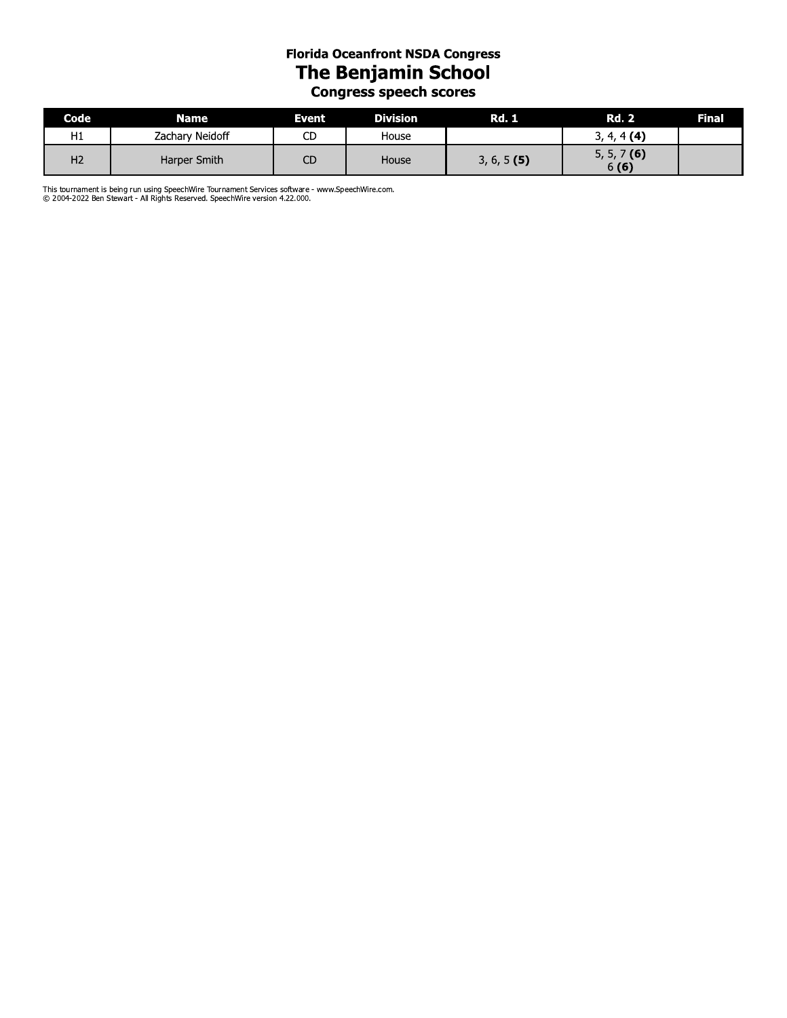#### **Florida Oceanfront NSDA Congress** The Benjamin School **Congress speech scores**

| Code           | <b>Name</b>     | Event | <b>Division</b> | <b>Rd. 1</b>  | <b>Rd. 2</b>          | Final |
|----------------|-----------------|-------|-----------------|---------------|-----------------------|-------|
| H1             | Zachary Neidoff | СD    | House           |               | $3, 4, 4$ (4)         |       |
| H <sub>2</sub> | Harper Smith    | СD    | House           | $3, 6, 5$ (5) | $5, 5, 7$ (6)<br>6(6) |       |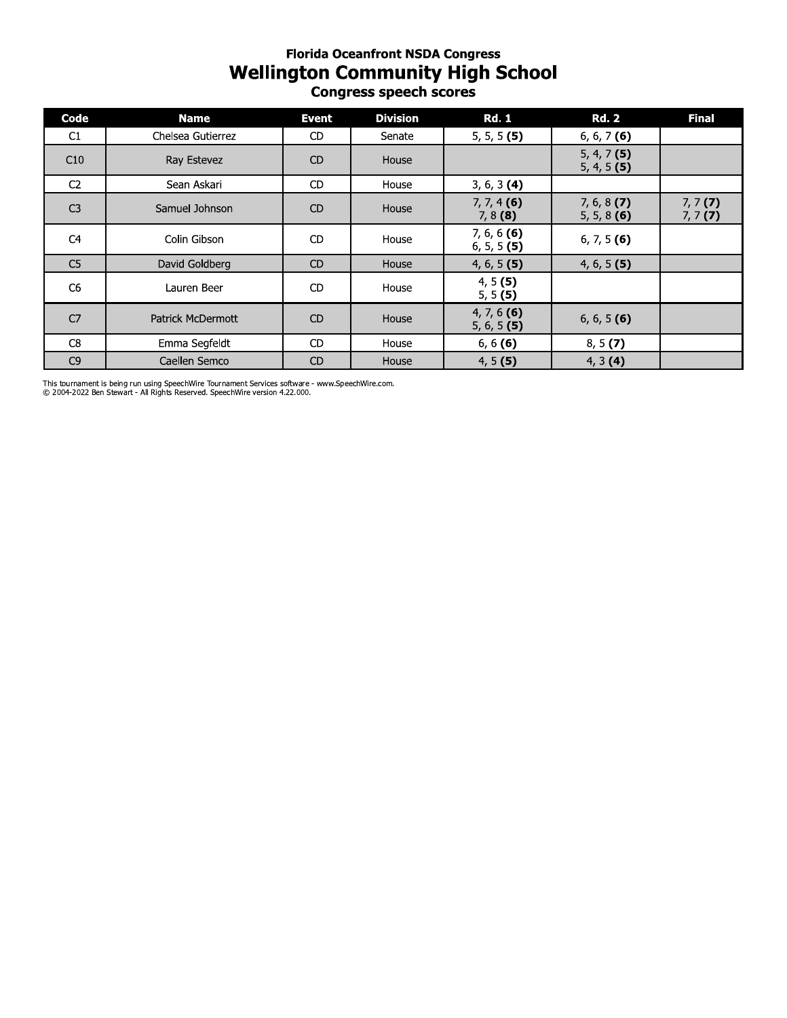## **Florida Oceantront NSDA Congress** wellington Community High School **Congress speecn scores**

| Code           | <b>Name</b>              | <b>Event</b> | <b>Division</b> | <b>Rd. 1</b>                   | <b>Rd. 2</b>                   | <b>Final</b>          |
|----------------|--------------------------|--------------|-----------------|--------------------------------|--------------------------------|-----------------------|
| C1             | Chelsea Gutierrez        | <b>CD</b>    | Senate          | $5, 5, 5$ (5)                  | $6, 6, 7$ (6)                  |                       |
| C10            | Ray Estevez              | <b>CD</b>    | House           |                                | $5, 4, 7$ (5)<br>$5, 4, 5$ (5) |                       |
| C <sub>2</sub> | Sean Askari              | <b>CD</b>    | House           | $3, 6, 3$ (4)                  |                                |                       |
| C <sub>3</sub> | Samuel Johnson           | <b>CD</b>    | House           | $7, 7, 4$ (6)<br>$7, 8$ (8)    | $7, 6, 8$ (7)<br>$5, 5, 8$ (6) | $7, 7$ (7)<br>7, 7(7) |
| C <sub>4</sub> | Colin Gibson             | <b>CD</b>    | House           | $7, 6, 6$ (6)<br>$6, 5, 5$ (5) | $6, 7, 5$ (6)                  |                       |
| C <sub>5</sub> | David Goldberg           | CD           | House           | $4, 6, 5$ (5)                  | $4, 6, 5$ (5)                  |                       |
| C <sub>6</sub> | Lauren Beer              | CD           | House           | 4, 5(5)<br>5, 5(5)             |                                |                       |
| C <sub>7</sub> | <b>Patrick McDermott</b> | <b>CD</b>    | House           | $4, 7, 6$ (6)<br>$5, 6, 5$ (5) | $6, 6, 5$ (6)                  |                       |
| C <sub>8</sub> | Emma Segfeldt            | <b>CD</b>    | House           | 6, 6(6)                        | 8, 5(7)                        |                       |
| C <sub>9</sub> | Caellen Semco            | <b>CD</b>    | House           | 4, 5(5)                        | 4, 3(4)                        |                       |